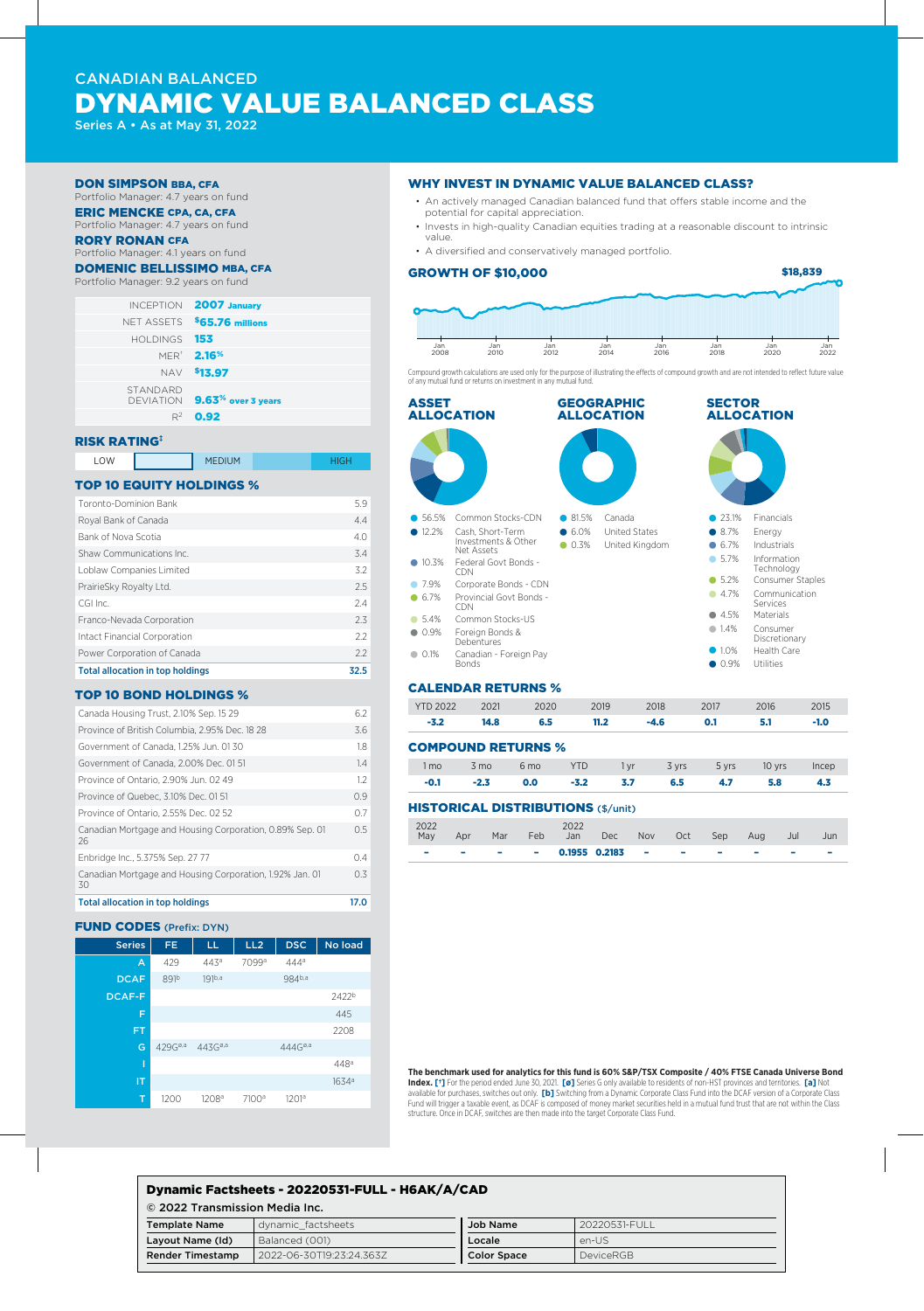# CANADIAN BALANCED DYNAMIC VALUE BALANCED CLASS

Series A • As at May 31, 2022

#### DON SIMPSON BBA, CFA

Portfolio Manager: 4.7 years on fund ERIC MENCKE CPA, CA, CFA

Portfolio Manager: 4.7 years on fund

#### RORY RONAN CFA

Portfolio Manager: 4.1 years on fund

## DOMENIC BELLISSIMO MBA, CFA

| Portfolio Manager: 9.2 years on fund |                                         |
|--------------------------------------|-----------------------------------------|
|                                      | <b>INCEPTION 2007 January</b>           |
|                                      | NET ASSETS \$65.76 millions             |
| HOI DINGS                            | 153                                     |
|                                      | <b>MER<sup>®</sup> 2.16<sup>%</sup></b> |
|                                      | NAV <sup>\$</sup> 13.97                 |
| STANDARD<br>DEVIATION                | $9.63%$ over 3 years                    |
| $R^2$                                | 0.92                                    |

#### RISK RATING‡

LOW **NEDIUM HIGH** 

### TOP 10 EQUITY HOLDINGS %

| <b>Total allocation in top holdings</b> | 32.5 |
|-----------------------------------------|------|
| Power Corporation of Canada             | 2.2  |
| Intact Financial Corporation            | 2.2  |
| Franco-Nevada Corporation               | 2.3  |
| CGI Inc.                                | 2.4  |
| PrairieSky Royalty Ltd.                 | 2.5  |
| Loblaw Companies Limited                | 3.2  |
| Shaw Communications Inc.                | 3.4  |
| Bank of Nova Scotia                     | 4.0  |
| Royal Bank of Canada                    | 4.4  |
| Toronto-Dominion Bank                   | 5.9  |

### TOP 10 BOND HOLDINGS %

| Canada Housing Trust, 2.10% Sep. 15 29                         | 6.2 |
|----------------------------------------------------------------|-----|
| Province of British Columbia, 2.95% Dec. 18 28                 | 3.6 |
| Government of Canada, 1.25% Jun. 0130                          | 1.8 |
| Government of Canada, 2.00% Dec. 0151                          | 1.4 |
| Province of Ontario, 2.90% Jun. 02 49                          | 1.2 |
| Province of Quebec, 3,10% Dec, 01 51                           | 0.9 |
| Province of Ontario, 2.55% Dec. 02 52                          | 0.7 |
| Canadian Mortgage and Housing Corporation, 0.89% Sep. 01<br>26 | 0.5 |
| Enbridge Inc., 5.375% Sep. 27 77                               | 0.4 |
| Canadian Mortgage and Housing Corporation, 1.92% Jan. 01<br>30 | 0 3 |
|                                                                |     |

Total allocation in top holdings 17.0

#### **FUND CODES** (Prefix: DYN)



#### WHY INVEST IN DYNAMIC VALUE BALANCED CLASS?

- An actively managed Canadian balanced fund that offers stable income and the potential for capital appreciation.
- Invests in high-quality Canadian equities trading at a reasonable discount to intrinsic value.
- A diversified and conservatively managed portfolio.

Jan 2012

#### GROWTH OF \$10,000

Jan 2010

Jan 2008

\$18,839

Jan 2016

Jan 2018

Jan 2020

Jan 2022

Compound growth calculations are used only for the purpose of illustrating the effects of compound growth and are not intended to reflect future value of any mutual fund or returns on investment in any mutual fund.

Jan 2014



| <b>YTD 2022</b> | 2021           | 2020                      | 2019       |      | 2018   | 2017  | 2016   | 2015   |
|-----------------|----------------|---------------------------|------------|------|--------|-------|--------|--------|
| $-3.2$          | 14.8           | 6.5                       | 11.2       |      | $-4.6$ | 0.1   | 5.1    | $-1.0$ |
|                 |                | <b>COMPOUND RETURNS %</b> |            |      |        |       |        |        |
| 1 mo            | $3 \text{ mo}$ | 6 <sub>mo</sub>           | <b>YTD</b> | 1 yr | 3 yrs  | 5 yrs | 10 yrs | Incep  |
| $-0.1$          | $-2.3$         | 0.0                       | $-3.2$     | 3.7  | 6.5    | 4.7   | 5.8    | 4.3    |

| May | Apr | Mar | Feb | Jan                | Dec | Nov                     | Oct | Sep                              | Aug | Jul | Jun                      |
|-----|-----|-----|-----|--------------------|-----|-------------------------|-----|----------------------------------|-----|-----|--------------------------|
|     | ÷   |     |     | $ -$ 0.1955 0.2183 |     | and the contract of the |     | <b>Service Contract Contract</b> | ٠   | -   | $\overline{\phantom{a}}$ |

#### **The benchmark used for analytics for this fund is 60% S&P/TSX Composite / 40% FTSE Canada Universe Bond**

**Index. [†]** For the period ended June 30, 2021. **[ø]** Series G only available to residents of non-HST provinces and territories. **[a]** Not available for purchases, switches out only. **[b]** Switching from a Dynamic Corporate Class Fund into the DCAF version of a Corporate Class Fund will trigger a taxable event, as DCAF is composed of money market securities held in a mutual fund trust that are not within the Class structure. Once in DCAF, switches are then made into the target Corporate Class Fund.